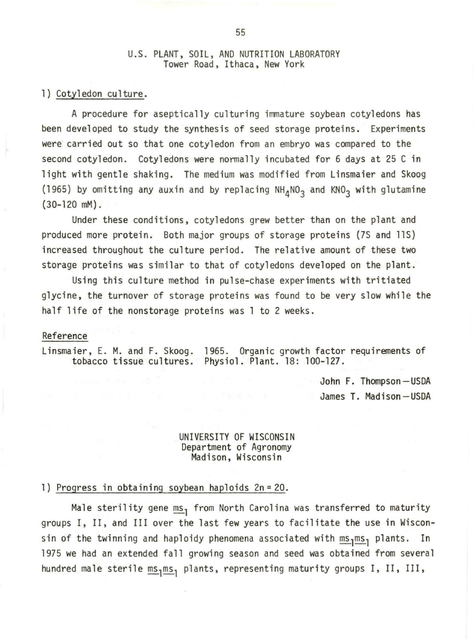## U.S. PLANT, SOIL, AND NUTRITION LABORATORY Tower Road, Ithaca, New York

1) Cotyledon culture.

A procedure for aseptically culturing immature soybean cotyledons has been developed to study the synthesis of seed storage proteins. Experiments were carried out so that one cotyledon from an embryo was compared to the second cotyledon. Cotyledons were normally incubated for 6 days at 25 C in light with gentle shaking. The medium was modified from Linsmaier and Skoog (1965) by omitting any auxin and by replacing  $NH<sub>4</sub>NO<sub>3</sub>$  and KNO<sub>3</sub> with glutamine (30-120 mM).

Under these conditions, cotyledons grew better than on the plant and produced more protein. Both major groups of storage proteins (7S and llS) increased throughout the culture period. The relative amount of these two storage proteins was similar to that of cotyledons developed on the plant.

Using this culture method in pulse-chase experiments with tritiated glycine, the turnover of storage proteins was found to be very slow while the half life of the nonstorage proteins was l to 2 weeks.

## Reference

Linsmaier, E. M. and F. Skoog. 1965. Organic growth factor requirements of tobacco tissue cultures. Physiol. Plant. 18: 100-127.

> John F. Thompson-USDA James T. Madison-USDA

## UNIVERSITY OF WISCONSIN Department of Agronomy Madison, Wisconsin

l) Progress in obtaining soybean haploids 2n = 20.

Male sterility gene  $ms<sub>1</sub>$  from North Carolina was transferred to maturity groups I, II, and III over the last few years to facilitate the use in Wisconsin of the twinning and haploidy phenomena associated with  $\text{\ms}_{1}\text{\tt ms}_{3}$ </u> plants. In 1975 we had an extended fall growing season and seed was obtained from several hundred male sterile  $\frac{ms}{1}$  plants, representing maturity groups I, II, III,